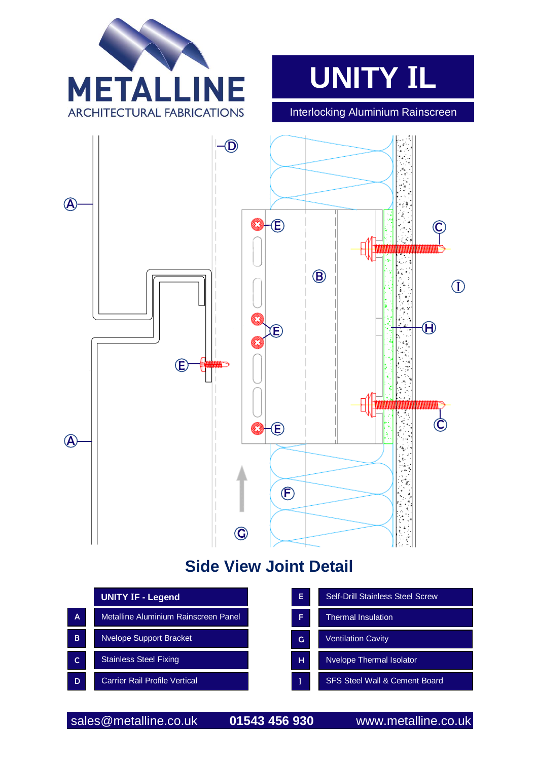



Interlocking Aluminium Rainscreen



## **Side View Joint Detail**

|   | <b>UNITY IF - Legend</b>             |  |  |
|---|--------------------------------------|--|--|
| A | Metalline Aluminium Rainscreen Panel |  |  |
| в | <b>Nvelope Support Bracket</b>       |  |  |
| C | <b>Stainless Steel Fixing</b>        |  |  |
| D | <b>Carrier Rail Profile Vertical</b> |  |  |

| E | <b>Self-Drill Stainless Steel Screw</b>  |  |
|---|------------------------------------------|--|
| F | <b>Thermal Insulation</b>                |  |
| G | <b>Ventilation Cavity</b>                |  |
| н | <b>Nvelope Thermal Isolator</b>          |  |
|   | <b>SFS Steel Wall &amp; Cement Board</b> |  |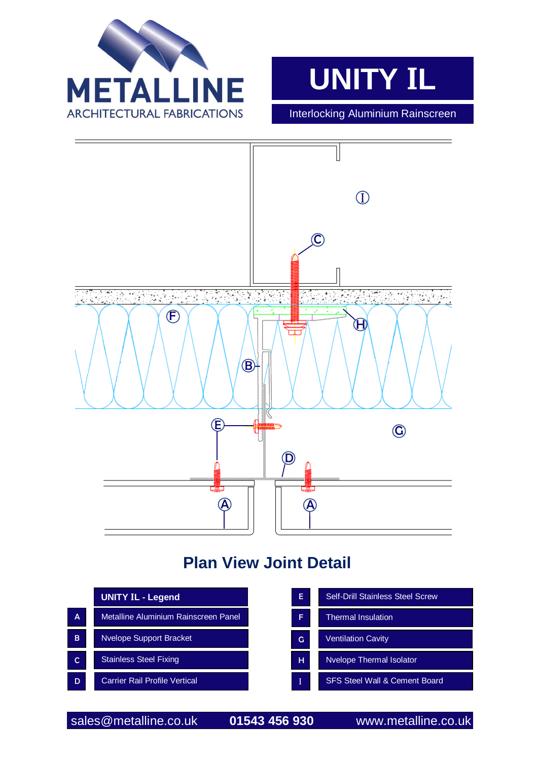



Interlocking Aluminium Rainscreen



## **Plan View Joint Detail**

|              | <b>UNITY IL - Legend</b>             | E | Self-Drill Stainless Steel Screw         |
|--------------|--------------------------------------|---|------------------------------------------|
| A            | Metalline Aluminium Rainscreen Panel | F | <b>Thermal Insulation</b>                |
| <sub>B</sub> | <b>Nvelope Support Bracket</b>       | G | <b>Ventilation Cavity</b>                |
| C            | <b>Stainless Steel Fixing</b>        | н | <b>Nvelope Thermal Isolator</b>          |
| D            | <b>Carrier Rail Profile Vertical</b> | I | <b>SFS Steel Wall &amp; Cement Board</b> |

sales@metalline.co.uk **01543 456 930** www.metalline.co.uk